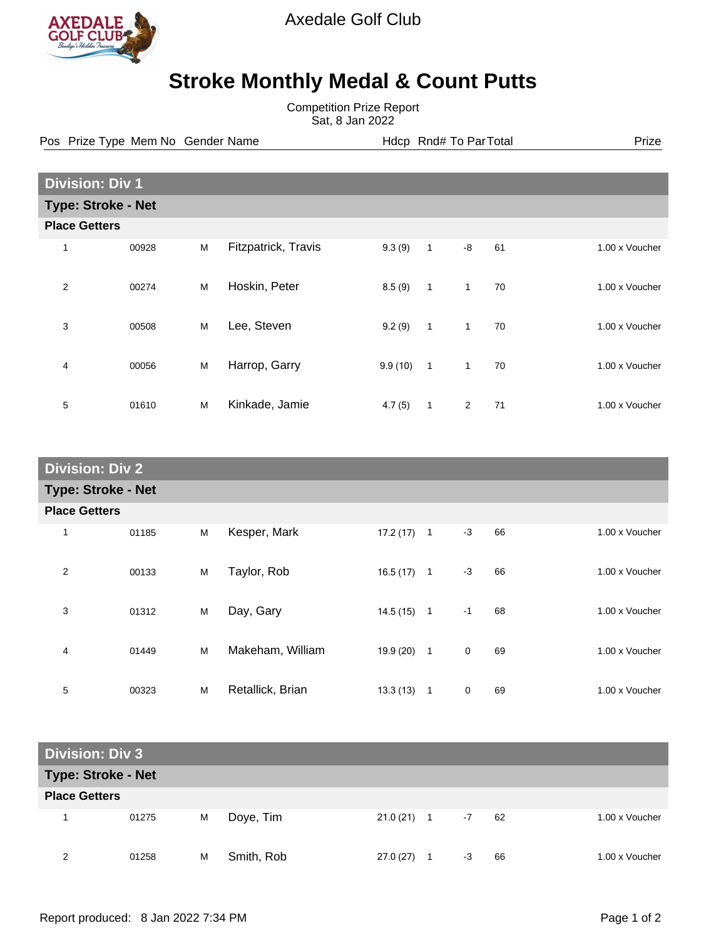

Axedale Golf Club

## **Stroke Monthly Medal & Count Putts**

Competition Prize Report Sat, 8 Jan 2022

Pos Prize Type Mem No Gender Name **Health Hotel And America** Hotel Hotel Prize Prize

| <b>Division: Div 1</b>    |       |   |                     |         |              |                |    |                |  |  |
|---------------------------|-------|---|---------------------|---------|--------------|----------------|----|----------------|--|--|
| <b>Type: Stroke - Net</b> |       |   |                     |         |              |                |    |                |  |  |
| <b>Place Getters</b>      |       |   |                     |         |              |                |    |                |  |  |
| 1                         | 00928 | M | Fitzpatrick, Travis | 9.3(9)  | $\mathbf{1}$ | -8             | 61 | 1.00 x Voucher |  |  |
| $\overline{2}$            | 00274 | M | Hoskin, Peter       | 8.5(9)  | $\mathbf{1}$ | $\mathbf{1}$   | 70 | 1.00 x Voucher |  |  |
| 3                         | 00508 | M | Lee, Steven         | 9.2(9)  | $\mathbf{1}$ | $\mathbf{1}$   | 70 | 1.00 x Voucher |  |  |
| 4                         | 00056 | M | Harrop, Garry       | 9.9(10) | $\mathbf{1}$ | $\overline{1}$ | 70 | 1.00 x Voucher |  |  |
| 5                         | 01610 | M | Kinkade, Jamie      | 4.7(5)  | 1            | 2              | 71 | 1.00 x Voucher |  |  |

| <b>Division: Div 2</b>    |       |   |                  |              |                |             |    |                |  |
|---------------------------|-------|---|------------------|--------------|----------------|-------------|----|----------------|--|
| <b>Type: Stroke - Net</b> |       |   |                  |              |                |             |    |                |  |
| <b>Place Getters</b>      |       |   |                  |              |                |             |    |                |  |
| 1                         | 01185 | M | Kesper, Mark     | 17.2(17)     | $\mathbf{1}$   | $-3$        | 66 | 1.00 x Voucher |  |
| 2                         | 00133 | M | Taylor, Rob      | $16.5(17)$ 1 |                | $-3$        | 66 | 1.00 x Voucher |  |
| 3                         | 01312 | M | Day, Gary        | $14.5(15)$ 1 |                | $-1$        | 68 | 1.00 x Voucher |  |
| $\overline{4}$            | 01449 | M | Makeham, William | 19.9 (20)    | $\overline{1}$ | $\mathbf 0$ | 69 | 1.00 x Voucher |  |
| 5                         | 00323 | M | Retallick, Brian | 13.3(13)     | $\mathbf{1}$   | 0           | 69 | 1.00 x Voucher |  |

| <b>Division: Div 3</b>    |       |   |            |           |              |      |    |                |  |
|---------------------------|-------|---|------------|-----------|--------------|------|----|----------------|--|
| <b>Type: Stroke - Net</b> |       |   |            |           |              |      |    |                |  |
| <b>Place Getters</b>      |       |   |            |           |              |      |    |                |  |
|                           | 01275 | M | Doye, Tim  |           | $21.0(21)$ 1 | $-7$ | 62 | 1.00 x Voucher |  |
| 2                         | 01258 | M | Smith, Rob | 27.0 (27) | 1            | -3   | 66 | 1.00 x Voucher |  |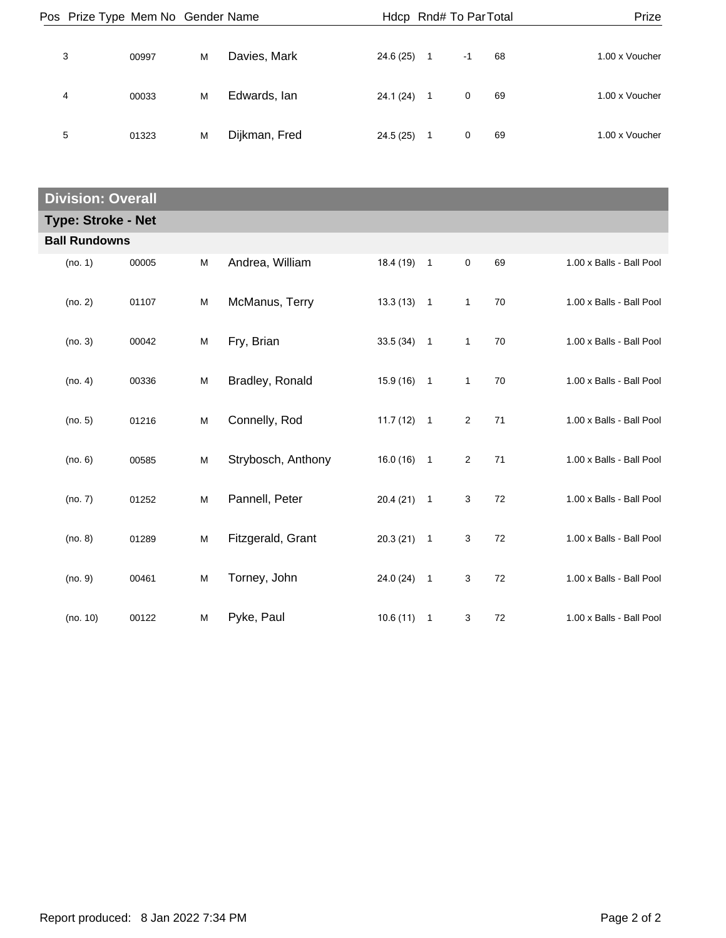| Prize          |    |      | Hdcp Rnd# To Par Total |               |   |       | Pos Prize Type Mem No Gender Name |  |  |  |
|----------------|----|------|------------------------|---------------|---|-------|-----------------------------------|--|--|--|
| 1.00 x Voucher | 68 | $-1$ | 24.6 (25)              | Davies, Mark  | M | 00997 | 3                                 |  |  |  |
| 1.00 x Voucher | 69 | 0    | 24.1 (24)              | Edwards, Ian  | м | 00033 | 4                                 |  |  |  |
| 1.00 x Voucher | 69 | 0    | 24.5 (25)              | Dijkman, Fred | M | 01323 | 5                                 |  |  |  |

| <b>Division: Overall</b>  |                      |       |   |                    |              |                |                |        |                          |  |  |
|---------------------------|----------------------|-------|---|--------------------|--------------|----------------|----------------|--------|--------------------------|--|--|
| <b>Type: Stroke - Net</b> |                      |       |   |                    |              |                |                |        |                          |  |  |
|                           | <b>Ball Rundowns</b> |       |   |                    |              |                |                |        |                          |  |  |
|                           | (no. 1)              | 00005 | M | Andrea, William    | 18.4 (19)    | $\overline{1}$ | $\mathbf 0$    | 69     | 1.00 x Balls - Ball Pool |  |  |
|                           | (no. 2)              | 01107 | M | McManus, Terry     | $13.3(13)$ 1 |                | $\mathbf{1}$   | 70     | 1.00 x Balls - Ball Pool |  |  |
|                           | (no. 3)              | 00042 | M | Fry, Brian         | $33.5(34)$ 1 |                | $\mathbf{1}$   | 70     | 1.00 x Balls - Ball Pool |  |  |
|                           | (no. 4)              | 00336 | M | Bradley, Ronald    | $15.9(16)$ 1 |                | 1              | 70     | 1.00 x Balls - Ball Pool |  |  |
|                           | (no. 5)              | 01216 | M | Connelly, Rod      | $11.7(12)$ 1 |                | $\overline{c}$ | 71     | 1.00 x Balls - Ball Pool |  |  |
|                           | (no. 6)              | 00585 | M | Strybosch, Anthony | $16.0(16)$ 1 |                | $\overline{2}$ | 71     | 1.00 x Balls - Ball Pool |  |  |
|                           | (no. 7)              | 01252 | M | Pannell, Peter     | $20.4(21)$ 1 |                | 3              | 72     | 1.00 x Balls - Ball Pool |  |  |
|                           | (no. 8)              | 01289 | M | Fitzgerald, Grant  | $20.3(21)$ 1 |                | 3              | $72\,$ | 1.00 x Balls - Ball Pool |  |  |
|                           | (no. 9)              | 00461 | M | Torney, John       | 24.0 (24)    | $\overline{1}$ | 3              | 72     | 1.00 x Balls - Ball Pool |  |  |
|                           | (no. 10)             | 00122 | M | Pyke, Paul         | 10.6(11)     | $\overline{1}$ | 3              | 72     | 1.00 x Balls - Ball Pool |  |  |